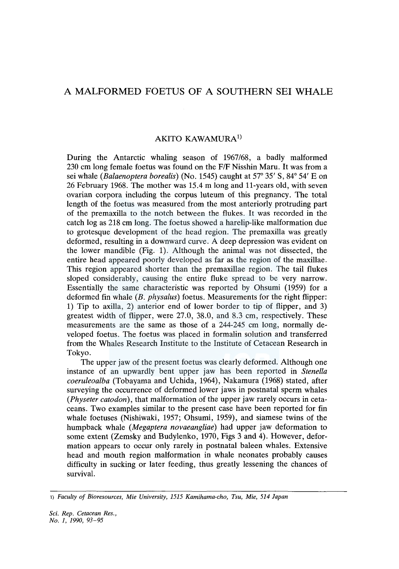## A MALFORMED FOETUS OF A SOUTHERN SEI WHALE

## AKITO KAWAMURA<sup>1)</sup>

During the Antarctic whaling season of 1967/68, a badly malformed 230 cm long female foetus was found on the *FIF* Nisshin Maru. It was from a sei whale *(Balaenoptera borealis)* (No. 1545) caught at 57° 35' S, 84° 54' Eon 26 February 1968. The mother was 15.4 m long and 11-years old, with seven ovarian corpora including the corpus luteum of this pregnancy. The total length of the foetus was measured from the most anteriorly protruding part of the premaxilla to the notch between the flukes. It was recorded in the catch log as 218 cm long. The foetus showed a harelip-like malformation due to grotesque development of the head region. The premaxilla was greatly deformed, resulting in a downward curve. A deep depression was evident on the lower mandible (Fig. 1). Although the animal was not dissected, the entire head appeared poorly developed as far as the region of the maxillae. This region appeared shorter than the premaxillae region. The tail flukes sloped considerably, causing the entire fluke spread to be very narrow. Essentially the same characteristic was reported by Ohsumi (1959) for a deformed fin whale *(B. physalus)* foetus. Measurements for the right flipper: 1) Tip to axilla, 2) anterior end of lower border to tip of flipper, and 3) greatest width of flipper, were 27.0, 38.0, and 8.3 cm, respectively. These measurements are the same as those of a 244-245 cm long, normally developed foetus. The foetus was placed in formalin solution and transferred from the Whales Research Institute to the Institute of Cetacean Research in Tokyo.

The upper jaw of the present foetus was clearly deformed. Although one instance of an upwardly bent upper jaw has been reported in *Stenella coeruleoalba* (Tobayama and Uchida, 1964), Nakamura (1968) stated, after surveying the occurrence of deformed lower jaws in postnatal sperm whales *(Physeter catodon),* that malformation of the upper jaw rarely occurs in cetaceans. Two examples similar to the present case have been reported for fin whale foetuses (Nishiwaki, 1957; Ohsumi, 1959), and siamese twins of the humpback whale *(Megaptera novaeangliae)* had upper jaw deformation to some extent (Zemsky and Budylenko, 1970, Figs 3 and 4). However, deformation appears to occur only rarely in postnatal baleen whales. Extensive head and mouth region malformation in whale neonates probably causes difficulty in sucking or later feeding, thus greatly lessening the chances of survival.

<sup>1)</sup> *Faculty of Bioresources, Mie University, 1515 Kamihama-cho, Tsu, Mie, 514 Japan*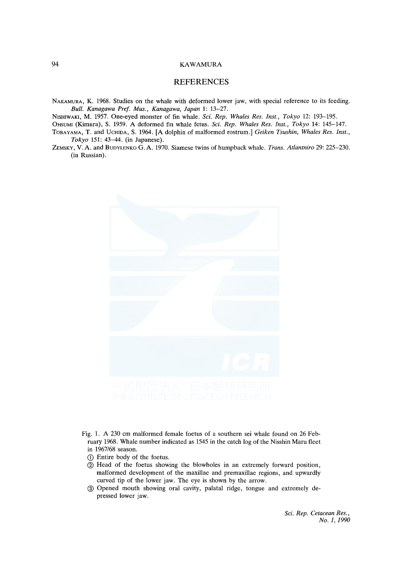## 94 KAWAMURA

## REFERENCES

NAKAMURA, K. 1968. Studies on the whale with deformed lower jaw, with special reference to its feeding. *Bull. Kanagawa Pref. Mus., Kanagawa, Japan* 1: 13-27.

N1sHIWAKI, M. 1957. One-eyed monster of fin whale. *Sci. Rep. Whales Res. Inst., Tokyo* 12: 193-195.

OttsUMI (Kimura), S. 1959. A deformed fin whale fetus. *Sci. Rep. Whales Res. Inst., Tokyo* 14: 145-147.

- ToBAYAMA, T. and UCHIDA, S. 1964. [A dolphin of malformed rostrum.] *Geiken Tsushin, Whales Res. Inst., Tokyo* 151: 43-44. (in Japanese).
- ZEMSKY, V. A. and BuoYLENKO G. A. 1970. Siamese twins of humpback whale. *Trans. Atlantniro* 29: 225-230. (in Russian).



- Fig. 1. A 230 cm malformed female foetus of a southern sei whale found on 26 February 1968. Whale number indicated as 1545 in the catch log of the Nisshin Mam fleet in 1967/68 season.
	- CD Entire body of the foetus.
	- $(2)$  Head of the foetus showing the blowholes in an extremely forward position, malformed development of the maxillae and premaxillae regions, and upwardly curved tip of the lower jaw. The eye is shown by the arrow.
	- @ Opened mouth showing oral cavity, palatal ridge, tongue and extremely depressed lower jaw.